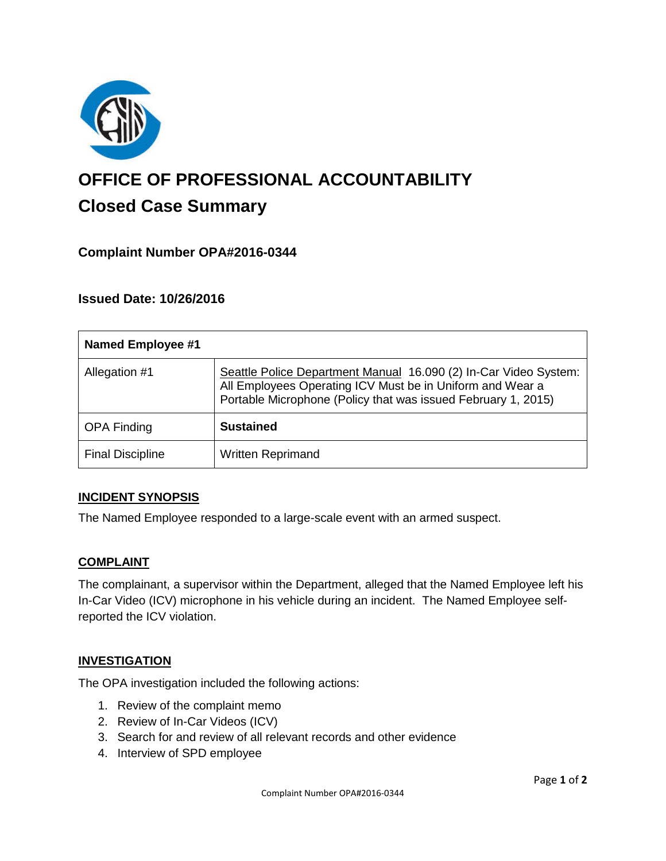

# **OFFICE OF PROFESSIONAL ACCOUNTABILITY Closed Case Summary**

# **Complaint Number OPA#2016-0344**

## **Issued Date: 10/26/2016**

| <b>Named Employee #1</b> |                                                                                                                                                                                                |
|--------------------------|------------------------------------------------------------------------------------------------------------------------------------------------------------------------------------------------|
| Allegation #1            | Seattle Police Department Manual 16.090 (2) In-Car Video System:<br>All Employees Operating ICV Must be in Uniform and Wear a<br>Portable Microphone (Policy that was issued February 1, 2015) |
| <b>OPA Finding</b>       | <b>Sustained</b>                                                                                                                                                                               |
| <b>Final Discipline</b>  | <b>Written Reprimand</b>                                                                                                                                                                       |

## **INCIDENT SYNOPSIS**

The Named Employee responded to a large-scale event with an armed suspect.

#### **COMPLAINT**

The complainant, a supervisor within the Department, alleged that the Named Employee left his In-Car Video (ICV) microphone in his vehicle during an incident. The Named Employee selfreported the ICV violation.

#### **INVESTIGATION**

The OPA investigation included the following actions:

- 1. Review of the complaint memo
- 2. Review of In-Car Videos (ICV)
- 3. Search for and review of all relevant records and other evidence
- 4. Interview of SPD employee